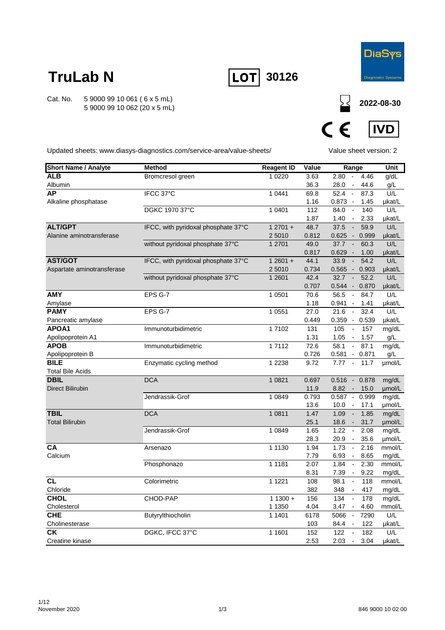

**2022-08-30**

## **TruLab N**

Cat. No. 5 9000 99 10 061 ( 6 x 5 mL) 5 9000 99 10 062 (20 x 5 mL)





Updated sheets: www.diasys-diagnostics.com/service-area/value-sheets/

Value sheet version: 2

| <b>Short Name / Analyte</b> | <b>Method</b>                       | <b>Reagent ID</b> | Value | Range                                     | Unit   |
|-----------------------------|-------------------------------------|-------------------|-------|-------------------------------------------|--------|
| <b>ALB</b>                  | Bromcresol green                    | 1 0 2 2 0         | 3.63  | 2.80<br>4.46<br>$\sim$                    | g/dL   |
| Albumin                     |                                     |                   | 36.3  | 28.0<br>44.6<br>$\sim$                    | g/L    |
| <b>AP</b>                   | IFCC 37°C                           | 1 0 4 4 1         | 69.8  | $52.4 -$<br>87.3                          | U/L    |
| Alkaline phosphatase        |                                     |                   | 1.16  | 0.873 -<br>1.45                           | µkat/L |
|                             | <b>DGKC 1970 37°C</b>               | 1 0401            | 112   | 84.0<br>140<br>$\sim$                     | U/L    |
|                             |                                     |                   | 1.87  | 1.40<br>2.33<br>$\sim$                    | µkat/L |
| <b>ALT/GPT</b>              | IFCC, with pyridoxal phosphate 37°C | $12701 +$         | 48.7  | 37.5<br>59.9<br>$\sim$                    | U/L    |
| Alanine aminotransferase    |                                     | 2 5010            | 0.812 | 0.625<br>0.999<br>$\sim$                  | µkat/L |
|                             | without pyridoxal phosphate 37°C    | 1 2701            | 49.0  | 37.7<br>60.3<br>$\sim$                    | U/L    |
|                             |                                     |                   | 0.817 | $0.629 -$<br>1.00                         | µkat/L |
| <b>AST/GOT</b>              | IFCC, with pyridoxal phosphate 37°C | $12601 +$         | 44.1  | 54.2<br>33.9<br>$\overline{\phantom{a}}$  | U/L    |
| Aspartate aminotransferase  |                                     | 2 5010            | 0.734 | $0.565 - 0.903$                           | µkat/L |
|                             | without pyridoxal phosphate 37°C    | 1 2 6 0 1         | 42.4  | 32.7<br>52.2<br>. .                       | U/L    |
|                             |                                     |                   | 0.707 | 0.544 - 0.870                             | µkat/L |
| <b>AMY</b>                  | EPS G-7                             | 1 0 5 0 1         | 70.6  | 56.5<br>$\overline{\phantom{a}}$<br>84.7  | U/L    |
| Amylase                     |                                     |                   | 1.18  | 0.941<br>1.41<br>$\overline{\phantom{a}}$ | µkat/L |
| <b>PAMY</b>                 | EPS G-7                             | 1 0 5 5 1         | 27.0  | 32.4<br>21.6<br>$\sim$                    | U/L    |
| Pancreatic amylase          |                                     |                   | 0.449 | 0.359 - 0.539                             | µkat/L |
| APOA1                       | Immunoturbidimetric                 | 17102             | 131   | 105<br>157<br>$\sim$                      | mg/dL  |
| Apolipoprotein A1           |                                     |                   | 1.31  | 1.05<br>1.57<br>$\sim$                    | g/L    |
| <b>APOB</b>                 | Immunoturbidimetric                 | 17112             | 72.6  | 58.1<br>87.1<br>$\sim$                    | mg/dL  |
| Apolipoprotein B            |                                     |                   | 0.726 | 0.581<br>0.871<br>$\sim$                  | g/L    |
| <b>BILE</b>                 | Enzymatic cycling method            | 1 2 2 3 8         | 9.72  | 7.77<br>$\sim$<br>11.7                    | µmol/L |
| <b>Total Bile Acids</b>     |                                     |                   |       |                                           |        |
| <b>DBIL</b>                 | <b>DCA</b>                          | 1 0 8 2 1         | 0.697 | $0.516 - 0.878$                           | mg/dL  |
| <b>Direct Bilirubin</b>     |                                     |                   | 11.9  | 8.82<br>15.0<br>$\sim 100$                | µmol/L |
|                             | Jendrassik-Grof                     | 1 0 8 4 9         | 0.793 | 0.587 - 0.999                             | mg/dL  |
|                             |                                     |                   | 13.6  | 10.0<br>$\sim$<br>17.1                    | umol/L |
| <b>TBIL</b>                 | DCA                                 | 1 0 8 1 1         | 1.47  | 1.85<br>1.09<br>$\sim$                    | mg/dL  |
| <b>Total Bilirubin</b>      |                                     |                   | 25.1  | 18.6<br>31.7<br>$\sim$                    | umol/L |
|                             | Jendrassik-Grof                     | 1 0 8 4 9         | 1.65  | 1.22<br>$\sim$<br>2.08                    | mg/dL  |
|                             |                                     |                   | 28.3  | 20.9<br>35.6<br>$\sim$                    | µmol/L |
| <b>CA</b>                   | Arsenazo                            | 1 1 1 3 0         | 1.94  | 1.73<br>2.16<br>$\blacksquare$            | mmol/L |
| Calcium                     |                                     |                   | 7.79  | 6.93<br>8.65<br>$\sim$                    | mg/dL  |
|                             | Phosphonazo                         | 1 1 1 8 1         | 2.07  | 1.84<br>2.30<br>$\sim$                    | mmol/L |
|                             |                                     |                   | 8.31  | 7.39<br>9.22<br>$\sim$                    | mg/dL  |
| <b>CL</b>                   | Colorimetric                        | 1 1 2 2 1         | 108   | 118<br>98.1<br>$\overline{\phantom{a}}$   | mmol/L |
| Chloride                    |                                     |                   | 382   | 348<br>417                                | mg/dL  |
| <b>CHOL</b>                 | CHOD-PAP                            | $11300 +$         | 156   | 134<br>$\overline{\phantom{a}}$<br>178    | mg/dL  |
| Cholesterol                 |                                     | 1 1 3 5 0         | 4.04  | 3.47<br>4.60<br>$\sim$                    | mmol/L |
| <b>CHE</b>                  | Butyrylthiocholin                   | 1 1401            | 6178  | 7290<br>5066<br>$\overline{\phantom{a}}$  | U/L    |
| Cholinesterase              |                                     |                   | 103   | 122<br>84.4 -                             | µkat/L |
| <b>CK</b>                   | DGKC, IFCC 37°C                     | 1 1601            | 152   | 122<br>182<br>$\blacksquare$              | U/L    |
| Creatine kinase             |                                     |                   | 2.53  | 2.03<br>3.04<br>$\blacksquare$            | µkat/L |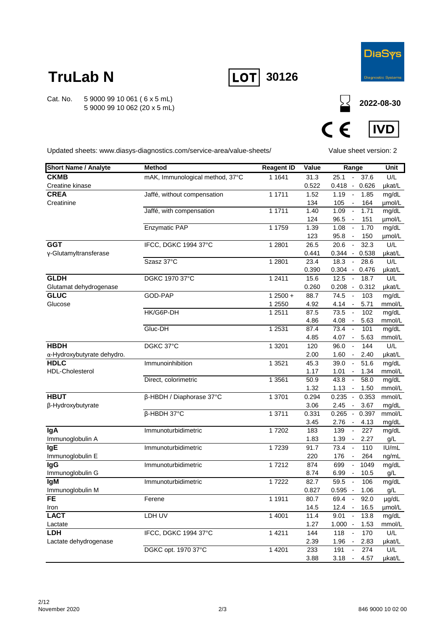

**2022-08-30**

## **TruLab N**

Cat. No. 5 9000 99 10 061 ( 6 x 5 mL) 5 9000 99 10 062 (20 x 5 mL)





Updated sheets: www.diasys-diagnostics.com/service-area/value-sheets/

Value sheet version: 2

| <b>Short Name / Analyte</b>    | <b>Method</b>                   | <b>Reagent ID</b> | Value         | Range                                                                        | Unit            |
|--------------------------------|---------------------------------|-------------------|---------------|------------------------------------------------------------------------------|-----------------|
| <b>CKMB</b>                    | mAK, Immunological method, 37°C | 1 1 6 4 1         | 31.3          | 37.6<br>25.1<br>$\sim$                                                       | U/L             |
| Creatine kinase                |                                 |                   | 0.522         | $0.418 - 0.626$                                                              | µkat/L          |
| <b>CREA</b>                    | Jaffé, without compensation     | 1 1711            | 1.52          | 1.19<br>1.85<br>$\sim$                                                       | mg/dL           |
| Creatinine                     |                                 |                   | 134           | 105<br>164<br>$\sim$                                                         | umol/L          |
|                                | Jaffé, with compensation        | 1 1711            | 1.40          | 1.09<br>1.71<br>$\overline{\phantom{a}}$                                     | mg/dL           |
|                                |                                 |                   | 124           | 96.5<br>151<br>$\sim$                                                        | µmol/L          |
|                                | <b>Enzymatic PAP</b>            | 1 1759            | 1.39          | 1.70<br>1.08<br>$\overline{\phantom{a}}$                                     | mg/dL           |
| <b>GGT</b>                     |                                 |                   | 123           | 95.8<br>150<br>$\overline{\phantom{a}}$                                      | µmol/L          |
| y-Glutamyltransferase          | IFCC, DGKC 1994 37°C            | 1 2 8 0 1         | 26.5          | 20.6<br>32.3<br>$\sim$                                                       | U/L             |
|                                | Szasz 37°C                      | 1 2 8 0 1         | 0.441<br>23.4 | $0.344 - 0.538$<br>18.3<br>$\sim$<br>28.6                                    | µkat/L<br>U/L   |
|                                |                                 |                   | 0.390         | $0.304 - 0.476$                                                              | µkat/L          |
| <b>GLDH</b>                    | DGKC 1970 37°C                  | 1 2 4 1 1         | 15.6          | 12.5<br>18.7<br>$\overline{\phantom{a}}$                                     | U/L             |
| Glutamat dehydrogenase         |                                 |                   | 0.260         | $0.208 - 0.312$                                                              | µkat/L          |
| <b>GLUC</b>                    | GOD-PAP                         | $12500 +$         | 88.7          | 74.5<br>103<br>$\overline{\phantom{a}}$                                      | mg/dL           |
| Glucose                        |                                 | 1 2550            | 4.92          | 4.14<br>5.71<br>$\sim$                                                       | mmol/L          |
|                                | HK/G6P-DH                       | 1 2 5 1 1         | 87.5          | 73.5<br>102<br>$\sim$                                                        | mg/dL           |
|                                |                                 |                   | 4.86          | 4.08<br>5.63<br>$\overline{\phantom{a}}$                                     | mmol/L          |
|                                | Gluc-DH                         | 1 2531            | 87.4          | 73.4<br>$\sim$<br>101                                                        | mg/dL           |
|                                |                                 |                   | 4.85          | $4.07 -$<br>5.63                                                             | mmol/L          |
| <b>HBDH</b>                    | DGKC 37°C                       | 1 3 2 0 1         | 120           | 96.0<br>144<br>$\overline{\phantom{a}}$                                      | U/L             |
| α-Hydroxybutyrate dehydro.     |                                 |                   | 2.00          | 1.60<br>2.40<br>$\sim$                                                       | µkat/L          |
| <b>HDLC</b><br>HDL-Cholesterol | Immunoinhibition                | 1 3 5 2 1         | 45.3          | 51.6<br>39.0<br>$\overline{\phantom{a}}$                                     | mg/dL           |
|                                | Direct, colorimetric            | 1 3561            | 1.17<br>50.9  | 1.01<br>1.34<br>$\sim$<br>43.8<br>58.0<br>$\overline{\phantom{a}}$           | mmol/L<br>mg/dL |
|                                |                                 |                   | 1.32          | 1.13<br>1.50<br>$\overline{\phantom{a}}$                                     | mmol/L          |
| <b>HBUT</b>                    | β-HBDH / Diaphorase 37°C        | 1 3701            | 0.294         | $0.235 - 0.353$                                                              | mmol/L          |
| β-Hydroxybutyrate              |                                 |                   | 3.06          | 2.45<br>3.67<br>$\sim$                                                       | mg/dL           |
|                                | β-HBDH 37°C                     | 1 3711            | 0.331         | $0.265 -$<br>0.397                                                           | mmol/L          |
|                                |                                 |                   | 3.45          | 2.76<br>4.13<br>$\sim$                                                       | mg/dL           |
| <b>IgA</b>                     | Immunoturbidimetric             | 17202             | 183           | 227<br>139<br>$\blacksquare$                                                 | mg/dL           |
| Immunoglobulin A               |                                 |                   | 1.83          | 1.39<br>2.27<br>$\overline{\phantom{a}}$                                     | g/L             |
| <b>IgE</b>                     | Immunoturbidimetric             | 17239             | 91.7          | 73.4<br>110<br>$\overline{\phantom{a}}$                                      | IU/mL           |
| Immunoglobulin E               |                                 |                   | 220           | 176<br>264<br>$\overline{\phantom{a}}$                                       | ng/mL           |
| <b>IgG</b>                     | Immunoturbidimetric             | 17212             | 874           | 699<br>1049<br>$\overline{\phantom{a}}$                                      | mg/dL           |
| Immunoglobulin G<br><b>IgM</b> |                                 | 17222             | 8.74<br>82.7  | 10.5<br>6.99<br>$\overline{\phantom{a}}$<br>59.5<br>$\overline{\phantom{a}}$ | g/L             |
| Immunoglobulin M               | Immunoturbidimetric             |                   | 0.827         | 106<br>$0.595 -$<br>1.06                                                     | mg/dL<br>g/L    |
| FE                             | Ferene                          | 1 1911            | 80.7          | 69.4<br>$\mathcal{L}_{\mathcal{A}}$<br>92.0                                  | µg/dL           |
| Iron                           |                                 |                   | 14.5          | 16.5<br>$12.4 -$                                                             | µmol/L          |
| <b>LACT</b>                    | LDH UV                          | 1 4001            | 11.4          | 9.01<br>13.8<br>$\sim$                                                       | mg/dL           |
| Lactate                        |                                 |                   | 1.27          | $1.000 -$<br>1.53                                                            | mmol/L          |
| <b>LDH</b>                     | IFCC, DGKC 1994 37°C            | 1 4 2 1 1         | 144           | 118<br>170<br>$\overline{\phantom{a}}$                                       | U/L             |
| Lactate dehydrogenase          |                                 |                   | 2.39          | 1.96<br>2.83<br>$\overline{\phantom{a}}$                                     | µkat/L          |
|                                | DGKC opt. 1970 37°C             | 1 4 2 0 1         | 233           | 191<br>274<br>$\overline{\phantom{a}}$                                       | U/L             |
|                                |                                 |                   | 3.88          | 4.57<br>3.18<br>$\overline{\phantom{a}}$                                     | µkat/L          |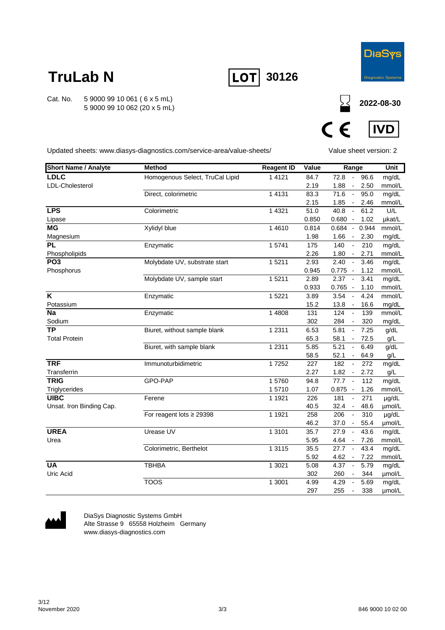

**2022-08-30**

## **TruLab N**

Cat. No. 5 9000 99 10 061 ( 6 x 5 mL) 5 9000 99 10 062 (20 x 5 mL)





Updated sheets: www.diasys-diagnostics.com/service-area/value-sheets/

Value sheet version: 2

| <b>Short Name / Analyte</b> | <b>Method</b>                   | <b>Reagent ID</b> | Value | Range                                    | <b>Unit</b> |
|-----------------------------|---------------------------------|-------------------|-------|------------------------------------------|-------------|
| <b>LDLC</b>                 | Homogenous Select, TruCal Lipid | 1 4 1 2 1         | 84.7  | 72.8<br>96.6<br>$\sim$                   | mg/dL       |
| LDL-Cholesterol             |                                 |                   | 2.19  | 1.88<br>2.50<br>$\sim$                   | mmol/L      |
|                             | Direct, colorimetric            | 1 4 1 3 1         | 83.3  | 71.6<br>95.0<br>$\sim$                   | mg/dL       |
|                             |                                 |                   | 2.15  | 1.85<br>2.46<br>$\sim$                   | mmol/L      |
| <b>LPS</b>                  | Colorimetric                    | 1 4 3 2 1         | 51.0  | 40.8<br>61.2<br>$\sim$                   | U/L         |
| Lipase                      |                                 |                   | 0.850 | $0.680 -$<br>1.02                        | µkat/L      |
| <b>MG</b>                   | Xylidyl blue                    | 1 4 6 1 0         | 0.814 | 0.684 - 0.944                            | mmol/L      |
| Magnesium                   |                                 |                   | 1.98  | 1.66<br>2.30<br>$\sim$                   | mg/dL       |
| <b>PL</b>                   | Enzymatic                       | 15741             | 175   | 210<br>140<br>$\mathbb{Z}$               | mg/dL       |
| Phospholipids               |                                 |                   | 2.26  | 1.80<br>2.71<br>$\sim$                   | mmol/L      |
| PO <sub>3</sub>             | Molybdate UV, substrate start   | 15211             | 2.93  | 2.40<br>$\sim$<br>3.46                   | mg/dL       |
| Phosphorus                  |                                 |                   | 0.945 | $0.775 -$<br>1.12                        | mmol/L      |
|                             | Molybdate UV, sample start      | 15211             | 2.89  | 2.37<br>$\sim$<br>3.41                   | mg/dL       |
|                             |                                 |                   | 0.933 | $0.765 -$<br>1.10                        | mmol/L      |
| $\overline{\mathsf{K}}$     | Enzymatic                       | 1 5 2 2 1         | 3.89  | 3.54<br>4.24<br>$\overline{\phantom{a}}$ | mmol/L      |
| Potassium                   |                                 |                   | 15.2  | 13.8<br>16.6<br>$\sim$                   | mg/dL       |
| <b>Na</b>                   | Enzymatic                       | 1 4808            | 131   | 124<br>139<br>$\overline{\phantom{a}}$   | mmol/L      |
| Sodium                      |                                 |                   | 302   | 284<br>320                               | mg/dL       |
| <b>TP</b>                   | Biuret, without sample blank    | 1 2 3 1 1         | 6.53  | 5.81<br>7.25<br>$\overline{\phantom{a}}$ | g/dL        |
| <b>Total Protein</b>        |                                 |                   | 65.3  | 58.1<br>72.5<br>$\blacksquare$           | g/L         |
|                             | Biuret, with sample blank       | 1 2 3 1 1         | 5.85  | 5.21<br>6.49<br>$\mathbb{Z}^2$           | g/dL        |
|                             |                                 |                   | 58.5  | 52.1<br>64.9<br>$\blacksquare$           | g/L         |
| <b>TRF</b>                  | Immunoturbidimetric             | 17252             | 227   | 182<br>272<br>$\overline{\phantom{a}}$   | mg/dL       |
| Transferrin                 |                                 |                   | 2.27  | 1.82<br>2.72<br>$\sim$                   | g/L         |
| <b>TRIG</b>                 | GPO-PAP                         | 15760             | 94.8  | 77.7<br>112<br>$\sim$                    | mg/dL       |
| Triglycerides               |                                 | 15710             | 1.07  | $0.875 -$<br>1.26                        | mmol/L      |
| <b>UIBC</b>                 | Ferene                          | 1 1 9 2 1         | 226   | 181<br>271<br>$\overline{\phantom{a}}$   | µg/dL       |
| Unsat. Iron Binding Cap.    |                                 |                   | 40.5  | 32.4<br>48.6<br>$\overline{\phantom{a}}$ | µmol/L      |
|                             | For reagent lots $\geq$ 29398   | 1 1921            | 258   | 206<br>310<br>$\sim$                     | µg/dL       |
|                             |                                 |                   | 46.2  | 37.0<br>55.4<br>$\sim$                   | µmol/L      |
| <b>UREA</b>                 | Urease UV                       | 1 3 1 0 1         | 35.7  | 27.9<br>43.6<br>$\sim$                   | mg/dL       |
| Urea                        |                                 |                   | 5.95  | 4.64<br>7.26<br>$\sim$                   | mmol/L      |
|                             | Colorimetric, Berthelot         | 1 3 1 1 5         | 35.5  | 27.7<br>43.4<br>$\overline{\phantom{a}}$ | mg/dL       |
|                             |                                 |                   | 5.92  | 4.62<br>7.22<br>$\overline{\phantom{a}}$ | mmol/L      |
| <b>UA</b>                   | <b>TBHBA</b>                    | 1 3021            | 5.08  | 4.37<br>5.79<br>$\overline{\phantom{a}}$ | mg/dL       |
| Uric Acid                   | <b>TOOS</b>                     |                   | 302   | 260<br>344                               | µmol/L      |
|                             |                                 | 1 3001            | 4.99  | 4.29<br>5.69<br>$\overline{\phantom{a}}$ | mg/dL       |
|                             |                                 |                   | 297   | 255<br>338<br>$\overline{\phantom{a}}$   | umol/L      |



DiaSys Diagnostic Systems GmbH Alte Strasse 9 65558 Holzheim Germany www.diasys-diagnostics.com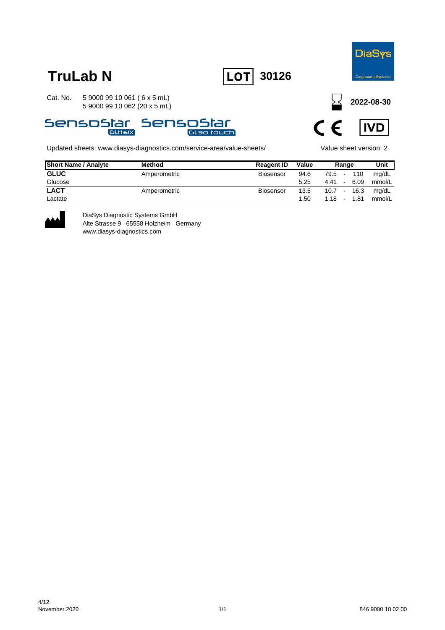

**TruLab N LOT** 30126

Cat. No. 5 9000 99 10 061 ( 6 x 5 mL) 5 9000 99 10 062 (20 x 5 mL)



Updated sheets: www.diasys-diagnostics.com/service-area/value-sheets/ Value sheet version: 2

**2022-08-30**



| <b>Short Name / Analyte</b> | <b>Method</b> | <b>Reagent ID</b> | Value |               | Range           |      | Unit   |
|-----------------------------|---------------|-------------------|-------|---------------|-----------------|------|--------|
| <b>GLUC</b>                 | Amperometric  | <b>Biosensor</b>  | 94.6  | 79.5 -        |                 | 110  | mg/dL  |
| Glucose                     |               |                   | 5.25  | 4.41          | $\sim$ 10 $\pm$ | 6.09 | mmol/L |
| <b>LACT</b>                 | Amperometric  | Biosensor         | 13.5  | $10.7 - 16.3$ |                 |      | mg/dL  |
| Lactate                     |               |                   | 1.50  | 1.18          | $\sim$          | 1.81 | mmol/L |



DiaSys Diagnostic Systems GmbH Alte Strasse 9 65558 Holzheim Germany www.diasys-diagnostics.com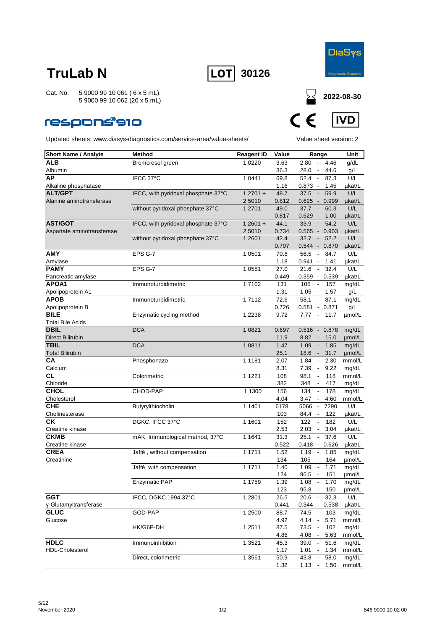



Cat. No. 5 9000 99 10 061 ( 6 x 5 mL) 5 9000 99 10 062 (20 x 5 mL)

### **respons®910**



| <b>Short Name / Analyte</b>    | <b>Method</b>                       | <b>Reagent ID</b> | Value | Range                                                      | Unit   |
|--------------------------------|-------------------------------------|-------------------|-------|------------------------------------------------------------|--------|
| <b>ALB</b>                     | Bromcresol green                    | 1 0 2 2 0         | 3.63  | 2.80<br>$\overline{\phantom{a}}$<br>4.46                   | g/dL   |
| Albumin                        |                                     |                   | 36.3  | 28.0 -<br>44.6                                             | g/L    |
| AP                             | IFCC 37°C                           | 1 0 4 4 1         | 69.8  | 52.4<br>87.3<br>$\sim$                                     | U/L    |
| Alkaline phosphatase           |                                     |                   | 1.16  | $0.873 -$<br>1.45                                          | µkat/L |
| <b>ALT/GPT</b>                 | IFCC, with pyridoxal phosphate 37°C | $12701 +$         | 48.7  | 37.5<br>59.9<br>$\sim$                                     | U/L    |
| Alanine aminotransferase       |                                     | 2 5 0 1 0         | 0.812 | $0.625 - 0.999$                                            | µkat/L |
|                                | without pyridoxal phosphate 37°C    | 1 2701            | 49.0  | 37.7<br>60.3<br>$\overline{\phantom{a}}$                   | U/L    |
|                                |                                     |                   | 0.817 | $0.629 -$<br>1.00                                          | µkat/L |
| <b>AST/GOT</b>                 | IFCC, with pyridoxal phosphate 37°C | $12601 +$         | 44.1  | 33.9<br>54.2<br>$\overline{\phantom{a}}$                   | U/L    |
| Aspartate aminotransferase     |                                     | 2 5010            | 0.734 | $0.565 -$<br>0.903                                         | µkat/L |
|                                | without pyridoxal phosphate 37°C    | 1 2601            | 42.4  | $\sim$<br>52.2<br>32.7                                     | U/L    |
|                                |                                     |                   | 0.707 | $0.544 - 0.870$                                            | µkat/L |
| <b>AMY</b>                     | EPS G-7                             | 1 0501            | 70.6  | 56.5<br>84.7<br>$\overline{\phantom{a}}$                   | U/L    |
| Amylase                        |                                     |                   | 1.18  | $0.941 -$<br>1.41                                          | µkat/L |
| <b>PAMY</b>                    | EPS G-7                             | 1 0551            | 27.0  | 21.6<br>32.4<br>$\overline{\phantom{a}}$                   | U/L    |
| Pancreatic amylase             |                                     |                   | 0.449 | $0.359 - 0.539$                                            | µkat/L |
| APOA1                          | Immunoturbidimetric                 | 17102             | 131   | 105<br>$\blacksquare$<br>157                               | mg/dL  |
| Apolipoprotein A1              |                                     |                   | 1.31  | $1.05 -$<br>1.57                                           | g/L    |
| <b>APOB</b>                    | Immunoturbidimetric                 | 17112             | 72.6  | 58.1<br>$\sim$<br>87.1                                     | mg/dL  |
| Apolipoprotein B               |                                     |                   | 0.726 | $0.581 - 0.871$                                            | g/L    |
| <b>BILE</b>                    | Enzymatic cycling method            | 1 2 2 3 8         | 9.72  | $7.77 -$<br>11.7                                           | µmol/L |
| <b>Total Bile Acids</b>        |                                     |                   |       |                                                            |        |
| <b>DBIL</b>                    | <b>DCA</b>                          | 1 0 8 2 1         | 0.697 | $0.516 - 0.878$                                            | mg/dL  |
| <b>Direct Bilirubin</b>        |                                     |                   | 11.9  | 8.82<br>15.0<br>$\sim$                                     | µmol/L |
| <b>TBIL</b>                    | <b>DCA</b>                          | 1 0811            | 1.47  | 1.09<br>1.85<br>$\overline{\phantom{a}}$                   | mg/dL  |
| <b>Total Bilirubin</b>         |                                     |                   | 25.1  | $18.6 -$<br>31.7                                           | µmol/L |
| CА                             | Phosphonazo                         | 1 1 1 8 1         | 2.07  | 1.84<br>$\overline{\phantom{a}}$<br>2.30                   | mmol/L |
| Calcium                        |                                     |                   | 8.31  | 7.39<br>9.22<br>$\sim$                                     | mg/dL  |
| СL                             | Colorimetric                        | 1 1 2 2 1         | 108   | 98.1<br>118<br>$\overline{\phantom{a}}$                    | mmol/L |
| Chloride                       |                                     |                   | 382   | 348<br>417                                                 | mg/dL  |
| <b>CHOL</b>                    | CHOD-PAP                            | 1 1300            | 156   | $\Box$<br>134<br>178                                       | mg/dL  |
| Cholesterol                    |                                     |                   | 4.04  | $3.47 -$<br>4.60                                           | mmol/L |
| <b>CHE</b>                     | Butyrylthiocholin                   | 1 1401            | 6178  | 5066<br>7290<br>$\sim$                                     | U/L    |
| Cholinesterase                 |                                     |                   | 103   | 84.4<br>122<br>$\sim$                                      | µkat/L |
| СK                             | DGKC, IFCC 37°C                     | 1 1601            | 152   | 122<br>182                                                 | U/L    |
|                                |                                     |                   |       | $\overline{\phantom{a}}$                                   |        |
| Creatine kinase<br><b>CKMB</b> |                                     | 1 1 6 4 1         | 2.53  | 2.03<br>3.04<br>$\overline{\phantom{a}}$<br>$\blacksquare$ | µkat/L |
|                                | mAK, Immunological method, 37°C     |                   | 31.3  | 37.6<br>25.1                                               | U/L    |
| Creatine kinase                |                                     |                   | 0.522 | $0.418 - 0.626$                                            | µkat/L |
| <b>CREA</b>                    | Jaffé, without compensation         | 1 1711            | 1.52  | 1.19<br>$\overline{\phantom{a}}$<br>1.85                   | mg/dL  |
| Creatinine                     |                                     |                   | 134   | 105<br>164                                                 | µmol/L |
|                                | Jaffé, with compensation            | 1 1711            | 1.40  | 1.71<br>1.09<br>$\sim$                                     | mg/dL  |
|                                |                                     |                   | 124   | 96.5<br>151<br>$\sim$                                      | µmol/L |
|                                | <b>Enzymatic PAP</b>                | 1 1759            | 1.39  | 1.08<br>1.70                                               | mg/dL  |
|                                |                                     |                   | 123   | 95.8 - 150                                                 | µmol/L |
| <b>GGT</b>                     | IFCC, DGKC 1994 37°C                | 1 2 8 0 1         | 26.5  | 32.3<br>20.6<br>$\sim$                                     | U/L    |
| γ-Glutamyltransferase          |                                     |                   | 0.441 | $0.344 - 0.538$                                            | µkat/L |
| <b>GLUC</b>                    | GOD-PAP                             | 1 2500            | 88.7  | $74.5 -$<br>103                                            | mg/dL  |
| Glucose                        |                                     |                   | 4.92  | $4.14 -$<br>5.71                                           | mmol/L |
|                                | HK/G6P-DH                           | 1 2511            | 87.5  | 73.5<br>102<br>$\overline{\phantom{a}}$                    | mg/dL  |
|                                |                                     |                   | 4.86  | 4.08<br>$\sim$<br>5.63                                     | mmol/L |
| <b>HDLC</b>                    | Immunoinhibition                    | 1 3 5 2 1         | 45.3  | 39.0<br>$\overline{\phantom{a}}$<br>51.6                   | mg/dL  |
| HDL-Cholesterol                |                                     |                   | 1.17  | 1.01<br>1.34<br>$\sim$                                     | mmol/L |
|                                | Direct, colorimetric                | 1 3 5 6 1         | 50.9  | $\sim$<br>43.8<br>58.0                                     | mg/dL  |
|                                |                                     |                   | 1.32  | $1.13 - 1.50$                                              | mmol/L |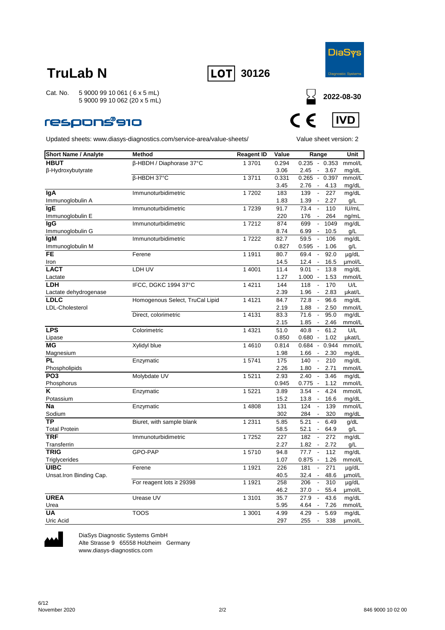



**2022-08-30**

**IVD** 

 $\boldsymbol{\epsilon}$ 

 $\epsilon$ 

Cat. No. 5 9000 99 10 061 ( 6 x 5 mL) 5 9000 99 10 062 (20 x 5 mL)

### respons®910

Updated sheets: www.diasys-diagnostics.com/service-area/value-sheets/ Value sheet version: 2

| <b>Short Name / Analyte</b>      | <b>Method</b>                   | <b>Reagent ID</b> | Value        | Range                                                      |              | Unit            |
|----------------------------------|---------------------------------|-------------------|--------------|------------------------------------------------------------|--------------|-----------------|
| <b>HBUT</b>                      | β-HBDH / Diaphorase 37°C        | 1 3701            | 0.294        | 0.235                                                      | $-0.353$     | mmol/L          |
| β-Hydroxybutyrate                |                                 |                   | 3.06         | 2.45<br>$\blacksquare$                                     | 3.67         | mg/dL           |
|                                  | β-HBDH 37°C                     | 1 3711            | 0.331        | $0.265 -$                                                  | 0.397        | mmol/L          |
|                                  |                                 |                   | 3.45         | 2.76<br>$\overline{\phantom{a}}$                           | 4.13         | mg/dL           |
| lgA                              | Immunoturbidimetric             | 17202             | 183          | 139<br>$\overline{\phantom{a}}$                            | 227          | mg/dL           |
| Immunoglobulin A                 |                                 |                   | 1.83         | 1.39<br>$\blacksquare$                                     | 2.27         | g/L             |
| lgE                              | Immunoturbidimetric             | 17239             | 91.7         | 73.4<br>$\blacksquare$                                     | 110          | IU/mL           |
| Immunoglobulin E                 |                                 |                   | 220          | 176<br>$\overline{\phantom{a}}$                            | 264          | ng/mL           |
| lgG                              | Immunoturbidimetric             | 17212             | 874          | 699<br>$\Box$                                              | 1049         | mg/dL           |
| Immunoglobulin G                 |                                 |                   | 8.74         | 6.99<br>$\overline{\phantom{a}}$                           | 10.5         | g/L             |
| <b>IgM</b>                       | Immunoturbidimetric             | 17222             | 82.7         | 59.5<br>$\overline{\phantom{a}}$                           | 106          | mg/dL           |
| Immunoglobulin M                 |                                 |                   | 0.827        | 0.595<br>$\overline{\phantom{a}}$                          | 1.06         | g/L             |
| <b>FE</b>                        | Ferene                          | 1 1911            | 80.7         | 69.4<br>$\overline{\phantom{a}}$                           | 92.0         | µg/dL           |
| Iron                             |                                 |                   | 14.5         | 12.4<br>$\overline{\phantom{a}}$                           | 16.5         | µmol/L          |
| <b>LACT</b>                      | LDH UV                          | 1 4001            | 11.4         | 9.01<br>$\overline{\phantom{a}}$                           | 13.8         | mg/dL           |
| Lactate                          |                                 |                   | 1.27         | $1.000 -$                                                  | 1.53         | mmol/L          |
| LDH                              | IFCC, DGKC 1994 37°C            | 1 4 2 1 1         | 144          | $\overline{\phantom{a}}$<br>118                            | 170          | U/L             |
| Lactate dehydrogenase            |                                 |                   | 2.39         | 1.96<br>$\overline{\phantom{a}}$                           | 2.83         | µkat/L          |
| <b>LDLC</b>                      | Homogenous Select, TruCal Lipid | 1 4 1 2 1         | 84.7         | 72.8<br>$\sim$                                             | 96.6         | mg/dL           |
| LDL-Cholesterol                  |                                 |                   | 2.19         | 1.88<br>$\overline{\phantom{a}}$                           | 2.50         | mmol/L          |
|                                  | Direct, colorimetric            | 1 4 1 3 1         | 83.3         | $\Box$<br>71.6                                             | 95.0         | mg/dL           |
|                                  |                                 |                   | 2.15         | 1.85<br>$\blacksquare$                                     | 2.46         | mmol/L          |
| <b>LPS</b>                       | Colorimetric                    | 1 4 3 2 1         | 51.0         | 40.8<br>$\blacksquare$                                     | 61.2         | U/L             |
| Lipase                           |                                 |                   | 0.850        | $0.680 -$                                                  | 1.02         | µkat/L          |
| MG                               | Xylidyl blue                    | 14610             | 0.814        | 0.684<br>$\mathcal{L}_{\mathcal{A}}$                       | 0.944        | mmol/L          |
| Magnesium                        |                                 |                   | 1.98         | 1.66<br>$\overline{\phantom{a}}$                           | 2.30         | mg/dL           |
| PL                               | Enzymatic                       | 15741             | 175          | 140<br>$\blacksquare$                                      | 210          | mg/dL           |
| Phospholipids<br>PO <sub>3</sub> |                                 | 15211             | 2.26<br>2.93 | $\overline{\phantom{a}}$<br>1.80<br>2.40<br>$\blacksquare$ | 2.71<br>3.46 | mmol/L          |
| Phosphorus                       | Molybdate UV                    |                   | 0.945        | $0.775 -$                                                  | 1.12         | mg/dL<br>mmol/L |
| K                                | Enzymatic                       | 1 5 2 2 1         | 3.89         | 3.54<br>$\overline{\phantom{a}}$                           | 4.24         | mmol/L          |
| Potassium                        |                                 |                   | 15.2         | $13.8 -$                                                   | 16.6         | mg/dL           |
| <b>Na</b>                        | Enzymatic                       | 1 4808            | 131          | 124<br>$\overline{\phantom{a}}$                            | 139          | mmol/L          |
| Sodium                           |                                 |                   | 302          | 284<br>$\overline{\phantom{a}}$                            | 320          | mg/dL           |
| TР                               | Biuret, with sample blank       | 1 2 3 1 1         | 5.85         | 5.21<br>$\overline{\phantom{a}}$                           | 6.49         | g/dL            |
| <b>Total Protein</b>             |                                 |                   | 58.5         | 52.1<br>$\overline{\phantom{a}}$                           | 64.9         | g/L             |
| TRF                              | Immunoturbidimetric             | 17252             | 227          | 182<br>$\overline{\phantom{a}}$                            | 272          | mg/dL           |
| Transferrin                      |                                 |                   | 2.27         | 1.82<br>$\blacksquare$                                     | 2.72         | g/L             |
| <b>TRIG</b>                      | GPO-PAP                         | 15710             | 94.8         | 77.7<br>$\overline{\phantom{a}}$                           | 112          | mg/dL           |
| Triglycerides                    |                                 |                   | 1.07         | $0.875 -$                                                  | 1.26         | mmol/L          |
| <b>UIBC</b>                      | Ferene                          | 1 1921            | 226          | 181<br>$\overline{\phantom{a}}$                            | 271          | µg/dL           |
| Unsat.Iron Binding Cap.          |                                 |                   | 40.5         | 32.4<br>$\overline{\phantom{a}}$                           | 48.6         | µmol/L          |
|                                  | For reagent lots $\geq$ 29398   | 1 1921            | 258          | 206<br>$\overline{\phantom{a}}$                            | 310          | $\mu$ g/dL      |
|                                  |                                 |                   | 46.2         | 37.0<br>$\overline{\phantom{a}}$                           | 55.4         | umol/L          |
| <b>UREA</b>                      | Urease UV                       | 1 3 1 0 1         | 35.7         | 27.9<br>$\blacksquare$                                     | 43.6         | mg/dL           |
| Urea                             |                                 |                   | 5.95         | 4.64<br>$\overline{\phantom{a}}$                           | 7.26         | mmol/L          |
| <b>UA</b>                        | <b>TOOS</b>                     | 1 3001            | 4.99         | 4.29<br>$\sim$                                             | 5.69         | mg/dL           |



DiaSys Diagnostic Systems GmbH Alte Strasse 9 65558 Holzheim Germany

www.diasys-diagnostics.com

Uric Acid 297 255 - 338 µmol/L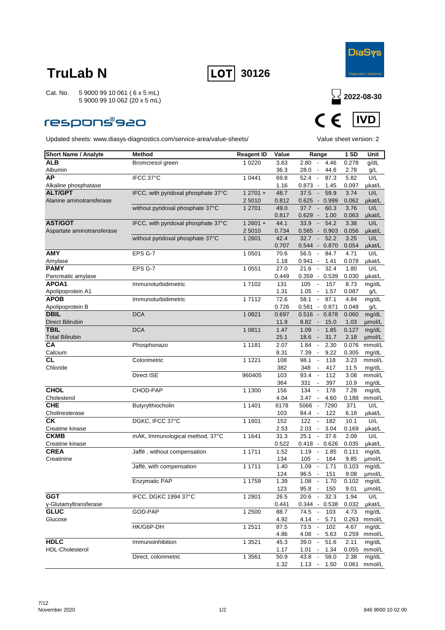



### **respons®s20**



| <b>Short Name / Analyte</b>     | Method                              | <b>Reagent ID</b> | Value             | Range                                                              | 1SD           | Unit            |
|---------------------------------|-------------------------------------|-------------------|-------------------|--------------------------------------------------------------------|---------------|-----------------|
| ALB                             | Bromcresol green                    | 1 0 2 2 0         | $3.\overline{63}$ | $2.80 -$<br>4.46                                                   | 0.278         | g/dL            |
| Albumin                         |                                     |                   | 36.3              | 28.0<br>44.6<br>$\overline{\phantom{a}}$                           | 2.78          | g/L             |
| <b>AP</b>                       | IFCC 37°C                           | 1 0441            | 69.8              | $\sim$<br>87.3<br>52.4                                             | 5.82          | U/L             |
| Alkaline phosphatase            |                                     |                   | 1.16              | $0.873 -$<br>1.45                                                  | 0.097         | µkat/L          |
| <b>ALT/GPT</b>                  | IFCC, with pyridoxal phosphate 37°C | $12701 +$         | 48.7              | 37.5<br>59.9<br>$\overline{\phantom{a}}$                           | 3.74          | U/L             |
| Alanine aminotransferase        |                                     | 2 5010            | 0.812             | 0.625<br>0.999<br>$\sim$                                           | 0.062         | µkat/L          |
|                                 | without pyridoxal phosphate 37°C    | 1 2701            | 49.0              | 37.7<br>60.3<br>$\overline{\phantom{a}}$                           | 3.76          | U/L             |
|                                 |                                     |                   | 0.817             | 0.629<br>1.00<br>$\sim$                                            | 0.063         | µkat/L          |
| <b>AST/GOT</b>                  | IFCC, with pyridoxal phosphate 37°C | $12601 +$         | 44.1              | 54.2<br>33.9<br>$\overline{\phantom{a}}$                           | 3.38          | U/L             |
| Aspartate aminotransferase      |                                     | 2 5010            | 0.734             | 0.565<br>$-0.903$                                                  | 0.056         | µkat/L          |
|                                 | without pyridoxal phosphate 37°C    | 1 2 6 0 1         | 42.4              | 52.2<br>32.7                                                       | 3.25          | U/L             |
|                                 |                                     |                   | 0.707             | 0.544<br>$-0.870$                                                  | 0.054         | ukat/L          |
| <b>AMY</b>                      | EPS G-7                             | 1 0501            | 70.6              | 56.5<br>84.7<br>$\overline{\phantom{a}}$                           | 4.71          | U/L             |
| Amylase                         |                                     |                   | 1.18              | $0.941 -$<br>1.41                                                  | 0.078         | µkat/L          |
| <b>PAMY</b>                     | EPS G-7                             | 1 0 5 5 1         | 27.0              | 32.4<br>21.6<br>$\overline{\phantom{a}}$                           | 1.80          | U/L             |
| Pancreatic amylase              |                                     |                   | 0.449             | 0.359<br>$-0.539$                                                  | 0.030         | µkat/L          |
| APOA1                           | Immunoturbidimetric                 | 17102             | 131               | 105<br>157<br>$\overline{\phantom{a}}$                             | 8.73          | mg/dL           |
| Apolipoprotein A1<br>APOB       | Immunoturbidimetric                 |                   | 1.31              | 1.05<br>1.57<br>$\overline{\phantom{a}}$<br>87.1<br>$\blacksquare$ | 0.087         | g/L             |
|                                 |                                     | 17112             | 72.6              | 58.1                                                               | 4.84          | mg/dL           |
| Apolipoprotein B<br><b>DBIL</b> | <b>DCA</b>                          | 1 0 8 2 1         | 0.726             | $0.581 - 0.871$<br>0.878                                           | 0.048         | g/L             |
| <b>Direct Bilirubin</b>         |                                     |                   | 0.697<br>11.9     | $0.516 -$<br>8.82<br>15.0<br>$\overline{\phantom{a}}$              | 0.060<br>1.03 | mg/dL<br>µmol/L |
| <b>TBIL</b>                     | <b>DCA</b>                          | 1 0811            | 1.47              | 1.09<br>$\overline{\phantom{a}}$<br>1.85                           | 0.127         | mg/dL           |
| <b>Total Bilirubin</b>          |                                     |                   | 25.1              | 31.7<br>18.6<br>$\sim$                                             | 2.18          | µmol/L          |
| <b>CA</b>                       | Phosphonazo                         | 1 1 1 8 1         | 2.07              | 1.84<br>2.30<br>$\overline{\phantom{a}}$                           | 0.076         | mmol/L          |
| Calcium                         |                                     |                   | 8.31              | 9.22<br>7.39<br>$\overline{\phantom{a}}$                           | 0.305         | mg/dL           |
| CL                              | Colorimetric                        | 1 1 2 2 1         | 108               | 98.1<br>118<br>$\overline{\phantom{a}}$                            | 3.23          | mmol/L          |
| Chloride                        |                                     |                   | 382               | 348<br>417<br>$\overline{\phantom{a}}$                             | 11.5          | mg/dL           |
|                                 | Direct ISE                          | 960405            | 103               | 93.4<br>112<br>$\overline{\phantom{a}}$                            | 3.08          | mmol/L          |
|                                 |                                     |                   | 364               | 331<br>397<br>$\overline{\phantom{a}}$                             | 10.9          | mg/dL           |
| <b>CHOL</b>                     | CHOD-PAP                            | 1 1300            | 156               | 134<br>178<br>$\overline{\phantom{a}}$                             | 7.28          | mg/dL           |
| Cholesterol                     |                                     |                   | 4.04              | 3.47<br>4.60<br>$\overline{\phantom{a}}$                           | 0.188         | mmol/L          |
| <b>CHE</b>                      | Butyrylthiocholin                   | 1 1401            | 6178              | 5066<br>$\overline{\phantom{a}}$<br>7290                           | 371           | U/L             |
| Cholinesterase                  |                                     |                   | 103               | 122<br>84.4<br>$\overline{\phantom{a}}$                            | 6.18          | µkat/L          |
| СK                              | DGKC, IFCC 37°C                     | 1 1601            | 152               | 122<br>182<br>$\overline{\phantom{a}}$                             | 10.1          | U/L             |
| Creatine kinase                 |                                     |                   | 2.53              | 2.03<br>3.04<br>$\overline{\phantom{a}}$                           | 0.169         | µkat/L          |
| <b>CKMB</b>                     | mAK, Immunological method, 37°C     | 1 1 6 4 1         | 31.3              | 25.1<br>37.6<br>$\blacksquare$                                     | 2.09          | U/L             |
| Creatine kinase                 |                                     |                   | 0.522             | $0.418 -$<br>0.626                                                 | 0.035         | µkat/L          |
| <b>CREA</b>                     | Jaffé, without compensation         | 1 1711            | 1.52              | 1.19<br>1.85<br>$\overline{\phantom{a}}$                           | 0.111         | mg/dL           |
| Creatinine                      |                                     |                   | 134               | 164<br>105<br>$\overline{\phantom{a}}$                             | 9.85          | umol/L          |
|                                 | Jaffé, with compensation            | 1 1711            | 1.40              | 1.71<br>1.09<br>$\overline{\phantom{a}}$                           | 0.103         | mg/dL           |
|                                 |                                     |                   | 124               | 96.5<br>151<br>$\overline{\phantom{a}}$                            | 9.08          | µmol/L          |
|                                 | <b>Enzymatic PAP</b>                | 1 1759            | 1.39              | 1.08<br>1.70<br>$\overline{\phantom{a}}$                           | 0.102         | mg/dL           |
| <b>GGT</b>                      | IFCC, DGKC 1994 37°C                | 1 2 8 0 1         | 123               | $95.8 -$<br>150<br>20.6<br>32.3<br>$\blacksquare$                  | 9.01<br>1.94  | µmol/L<br>U/L   |
| γ-Glutamyltransferase           |                                     |                   | 26.5<br>0.441     | $0.344 - 0.538$                                                    | 0.032         | µkat/L          |
| <b>GLUC</b>                     | GOD-PAP                             | 1 2500            | 88.7              | 74.5<br>103<br>$\sim$                                              | 4.73          | mg/dL           |
| Glucose                         |                                     |                   | 4.92              | 4.14<br>5.71                                                       | 0.263         | mmol/L          |
|                                 | HK/G6P-DH                           | 1 2511            | 87.5              | 73.5<br>102<br>$\overline{\phantom{a}}$                            | 4.67          | mg/dL           |
|                                 |                                     |                   | 4.86              | 4.08<br>5.63                                                       | 0.259         | mmol/L          |
| <b>HDLC</b>                     | Immunoinhibition                    | 1 3 5 2 1         | 45.3              | 51.6<br>39.0                                                       | 2.11          | mg/dL           |
| HDL-Cholesterol                 |                                     |                   | 1.17              | 1.01<br>1.34<br>$\sim$                                             | 0.055         | mmol/L          |
|                                 | Direct, colorimetric                | 1 3561            | 50.9              | 43.8<br>58.0<br>$\overline{\phantom{a}}$                           | 2.38          | mg/dL           |
|                                 |                                     |                   | 1.32              | 1.13<br>1.50<br>$\overline{\phantom{a}}$                           | 0.061         | mmol/L          |
|                                 |                                     |                   |                   |                                                                    |               |                 |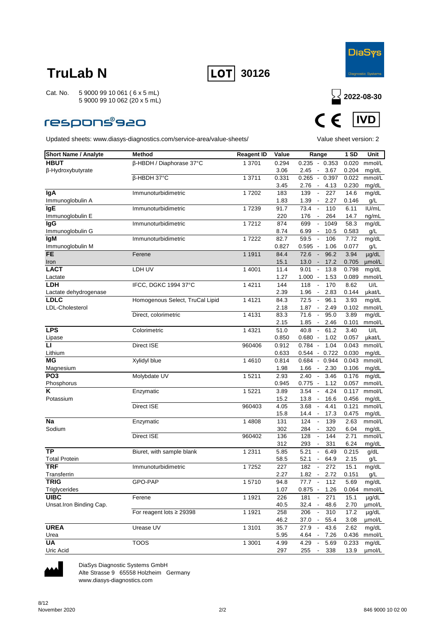



### **respons®s20**

Updated sheets: www.diasys-diagnostics.com/service-area/value-sheets/ Value sheet version: 2



| <b>Short Name / Analyte</b> | Method                          | <b>Reagent ID</b>   | Value | Range                                     | 1 SD  | Unit         |
|-----------------------------|---------------------------------|---------------------|-------|-------------------------------------------|-------|--------------|
| <b>HBUT</b>                 | β-HBDH / Diaphorase 37°C        | 1 3701              | 0.294 | $0.235 - 0.353$                           | 0.020 | mmol/L       |
| β-Hydroxybutyrate           |                                 |                     | 3.06  | 3.67<br>2.45<br>$\overline{\phantom{a}}$  | 0.204 | mg/dL        |
|                             | β-HBDH 37°C                     | 1 3711              | 0.331 | 0.265<br>$-0.397$                         | 0.022 | mmol/L       |
|                             |                                 |                     | 3.45  | 2.76<br>4.13<br>$\sim$                    | 0.230 | mg/dL        |
| lgA                         | Immunoturbidimetric             | 17202               | 183   | 139<br>227<br>$\overline{\phantom{a}}$    | 14.6  | mg/dL        |
| Immunoglobulin A            |                                 |                     | 1.83  | 1.39<br>2.27<br>$\overline{\phantom{a}}$  | 0.146 | g/L          |
| IgE                         | Immunoturbidimetric             | 17239               | 91.7  | 73.4<br>110<br>$\overline{\phantom{a}}$   | 6.11  | IU/mL        |
| Immunoglobulin E            |                                 |                     | 220   | 176<br>264<br>$\overline{\phantom{a}}$    | 14.7  | ng/mL        |
| lgG                         | Immunoturbidimetric             | 17212               | 874   | 699<br>1049                               | 58.3  | mg/dL        |
| Immunoglobulin G            |                                 |                     | 8.74  | 6.99<br>10.5<br>$\overline{\phantom{a}}$  | 0.583 | g/L          |
| lgM                         | Immunoturbidimetric             | 17222               | 82.7  | 59.5<br>106<br>$\overline{\phantom{a}}$   | 7.72  | mg/dL        |
| Immunoglobulin M            |                                 |                     | 0.827 | $0.595 -$<br>1.06                         | 0.077 | g/L          |
| <b>FE</b>                   | Ferene                          | 1 1911              | 84.4  | 72.6<br>96.2<br>$\overline{\phantom{a}}$  | 3.94  | $\mu$ g/dL   |
| Iron                        |                                 |                     | 15.1  | $13.0 -$<br>17.2                          | 0.705 | umol/L       |
| <b>LACT</b>                 | LDH UV                          | 1 4001              | 11.4  | 9.01<br>13.8<br>$\blacksquare$            | 0.798 | mg/dL        |
| Lactate                     |                                 |                     | 1.27  | 1.000<br>1.53<br>$\overline{\phantom{a}}$ | 0.089 | mmol/L       |
| LDH                         | IFCC, DGKC 1994 37°C            | 1 4 2 1 1           | 144   | 118<br>170<br>$\Box$                      | 8.62  | U/L          |
| Lactate dehydrogenase       |                                 |                     | 2.39  | 1.96<br>2.83<br>$\overline{\phantom{a}}$  | 0.144 | µkat/L       |
| <b>LDLC</b>                 | Homogenous Select, TruCal Lipid | 1 4 1 2 1           | 84.3  | 72.5<br>96.1<br>$\overline{\phantom{a}}$  | 3.93  | mg/dL        |
| <b>LDL-Cholesterol</b>      |                                 |                     | 2.18  | 1.87<br>2.49<br>$\overline{\phantom{a}}$  | 0.102 | mmol/L       |
|                             | Direct, colorimetric            | 1 4131              | 83.3  | 95.0<br>71.6<br>$\overline{\phantom{a}}$  | 3.89  | mg/dL        |
|                             |                                 |                     | 2.15  | 1.85<br>2.46<br>$\overline{\phantom{a}}$  | 0.101 | mmol/L       |
| <b>LPS</b>                  | Colorimetric                    | 1 4 3 2 1           | 51.0  | 40.8<br>$\sim$<br>61.2                    | 3.40  | U/L          |
| Lipase                      |                                 |                     | 0.850 | $0.680 -$<br>1.02                         | 0.057 | µkat/L       |
| $\mathbf{L}$                | Direct ISE                      | 960406              | 0.912 | 1.04<br>$0.784 -$                         | 0.043 | mmol/L       |
| Lithium                     |                                 |                     | 0.633 | $0.544 - 0.722$                           | 0.030 | mg/dL        |
| ΜG                          | Xylidyl blue                    | 14610               | 0.814 | $0.684 - 0.944$                           | 0.043 | mmol/L       |
| Magnesium                   |                                 |                     | 1.98  | 1.66<br>2.30<br>$\sim$                    | 0.106 | mg/dL        |
| PO <sub>3</sub>             | Molybdate UV                    | $\overline{1}$ 5211 | 2.93  | 2.40<br>3.46<br>$\overline{\phantom{a}}$  | 0.176 | mg/dL        |
| Phosphorus                  |                                 |                     | 0.945 | 0.775<br>1.12<br>$\sim$                   | 0.057 | mmol/L       |
| Κ                           | Enzymatic                       | 1 5221              | 3.89  | 3.54<br>4.24<br>$\overline{\phantom{a}}$  | 0.117 | mmol/L       |
| Potassium                   |                                 |                     | 15.2  | 13.8<br>16.6                              | 0.456 | mg/dL        |
|                             | Direct ISE                      | 960403              | 4.05  | 3.68<br>$\overline{\phantom{a}}$<br>4.41  | 0.121 | mmol/L       |
|                             |                                 |                     | 15.8  | 17.3<br>14.4<br>$\sim$                    | 0.475 | mg/dL        |
| Na                          | Enzymatic                       | 1 4808              | 131   | 124<br>139<br>$\overline{\phantom{a}}$    | 2.63  | mmol/L       |
| Sodium                      |                                 |                     | 302   | 284<br>320<br>$\overline{\phantom{a}}$    | 6.04  | mg/dL        |
|                             | Direct ISE                      | 960402              | 136   | 128<br>144<br>$\overline{\phantom{a}}$    | 2.71  | mmol/L       |
|                             |                                 |                     | 312   | 293<br>331<br>$\overline{\phantom{a}}$    | 6.24  | mg/dL        |
| <b>TP</b>                   | Biuret, with sample blank       | 1 2 3 1 1           | 5.85  | 5.21<br>6.49<br>$\overline{\phantom{a}}$  | 0.215 | g/dL         |
| <b>Total Protein</b>        |                                 |                     | 58.5  | 52.1<br>64.9<br>$\overline{\phantom{a}}$  | 2.15  | g/L          |
| <b>TRF</b>                  | Immunoturbidimetric             | 17252               | 227   | 182<br>272<br>$\overline{\phantom{a}}$    | 15.1  | mg/dL        |
| Transferrin                 |                                 |                     | 2.27  | 1.82<br>2.72<br>$\overline{\phantom{a}}$  | 0.151 | g/L          |
| <b>TRIG</b>                 | GPO-PAP                         | 15710               | 94.8  | 77.7<br>112<br>$\sim$                     | 5.69  | mg/dL        |
| Triglycerides               |                                 |                     | 1.07  | $0.875 - 1.26$                            |       | 0.064 mmol/L |
| <b>UIBC</b>                 | Ferene                          | 1 1921              | 226   | 181<br>271                                | 15.1  | $\mu$ g/dL   |
| Unsat.Iron Binding Cap.     |                                 |                     | 40.5  | 32.4<br>$\sim$<br>48.6                    | 2.70  | µmol/L       |
|                             | For reagent lots $\geq$ 29398   | 1 1921              | 258   | 206<br>$\overline{\phantom{a}}$<br>310    | 17.2  | µg/dL        |
|                             |                                 |                     | 46.2  | $37.0 -$<br>55.4                          | 3.08  | µmol/L       |
| <b>UREA</b>                 | Urease UV                       | 1 3101              | 35.7  | 27.9<br>$\sim$<br>43.6                    | 2.62  | mg/dL        |
| Urea                        |                                 |                     | 5.95  | 4.64 -<br>7.26                            | 0.436 | mmol/L       |
| UA                          | <b>TOOS</b>                     | 1 3001              | 4.99  | 4.29<br>5.69<br>$\sim$                    | 0.233 | mg/dL        |
| Uric Acid                   |                                 |                     | 297   | 255<br>338<br>$\blacksquare$              | 13.9  | umol/L       |



DiaSys Diagnostic Systems GmbH Alte Strasse 9 65558 Holzheim Germany

www.diasys-diagnostics.com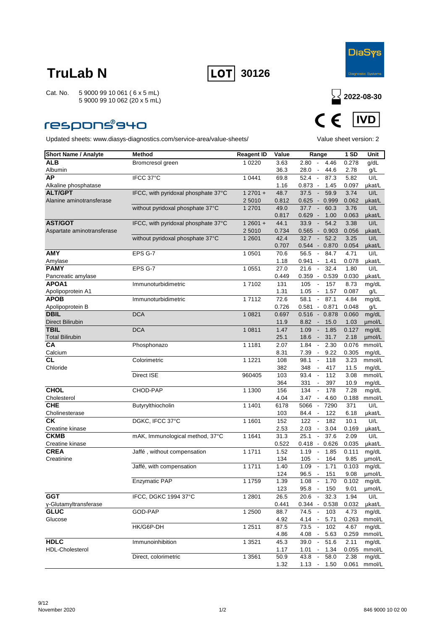



### **respons®940**



| <b>Short Name / Analyte</b>            | <b>Method</b>                       | <b>Reagent ID</b>  | Value        | Range                                                                        | 1 SD          | Unit             |
|----------------------------------------|-------------------------------------|--------------------|--------------|------------------------------------------------------------------------------|---------------|------------------|
| ALB                                    | Bromcresol green                    | 1 0 2 2 0          | 3.63         | 2.80<br>4.46<br>$\overline{\phantom{a}}$                                     | 0.278         | g/dL             |
| Albumin                                |                                     |                    | 36.3         | 28.0<br>44.6                                                                 | 2.78          | g/L              |
| АP                                     | IFCC 37°C                           | 1 0441             | 69.8         | 52.4<br>$\sim$<br>87.3                                                       | 5.82          | U/L              |
| Alkaline phosphatase                   |                                     |                    | 1.16         | $0.873 -$<br>1.45                                                            | 0.097         | µkat/L           |
| <b>ALT/GPT</b>                         | IFCC, with pyridoxal phosphate 37°C | $12701 +$          | 48.7         | 59.9<br>37.5<br>$\overline{\phantom{a}}$                                     | 3.74          | U/L              |
| Alanine aminotransferase               |                                     | 2 5010             | 0.812        | 0.625<br>0.999<br>$\sim$                                                     | 0.062         | µkat/L           |
|                                        | without pyridoxal phosphate 37°C    | 1 2701             | 49.0         | 37.7<br>60.3                                                                 | 3.76          | U/L              |
|                                        |                                     |                    | 0.817        | 0.629<br>1.00<br>$\sim$                                                      | 0.063         | µkat/L           |
| <b>AST/GOT</b>                         | IFCC, with pyridoxal phosphate 37°C | $12601 +$          | 44.1         | 33.9<br>54.2<br>$\overline{\phantom{a}}$                                     | 3.38          | U/L              |
| Aspartate aminotransferase             |                                     | 2 5010             | 0.734        | 0.565<br>$-0.903$                                                            | 0.056         | µkat/L           |
|                                        | without pyridoxal phosphate 37°C    | 1 2 6 0 1          | 42.4         | 32.7<br>52.2<br>$\sim$                                                       | 3.25          | U/L              |
|                                        |                                     |                    | 0.707        | 0.544<br>$-0.870$                                                            | 0.054         | µkat/L           |
| <b>AMY</b>                             | EPS G-7                             | 1 0501             | 70.6         | 56.5<br>84.7<br>$\overline{\phantom{a}}$                                     | 4.71          | U/L              |
| Amylase                                |                                     |                    | 1.18         | 0.941 -<br>1.41                                                              | 0.078         | µkat/L           |
| <b>PAMY</b>                            | EPS G-7                             | 1 0551             | 27.0         | 21.6<br>32.4<br>$\overline{\phantom{a}}$                                     | 1.80          | U/L              |
| Pancreatic amylase                     |                                     |                    | 0.449        | $0.359 - 0.539$                                                              | 0.030         | µkat/L           |
| APOA1                                  | Immunoturbidimetric                 | 17102              | 131          | 105<br>157<br>$\overline{\phantom{a}}$                                       | 8.73          | mg/dL            |
| Apolipoprotein A1                      |                                     |                    | 1.31         | 1.05<br>1.57<br>$\overline{\phantom{a}}$                                     | 0.087         | g/L              |
| <b>APOB</b>                            | Immunoturbidimetric                 | $\frac{1}{1}$ 7112 | 72.6         | 87.1<br>58.1<br>$\blacksquare$                                               | 4.84          | mg/dL            |
| Apolipoprotein B                       | <b>DCA</b>                          |                    | 0.726        | $0.581 - 0.871$                                                              | 0.048         | g/L              |
| <b>DBIL</b>                            |                                     | 1 0 8 2 1          | 0.697        | 0.878<br>0.516<br>$\sim$<br>8.82                                             | 0.060         | mg/dL<br>umol/L  |
| <b>Direct Bilirubin</b><br><b>TBIL</b> | <b>DCA</b>                          | 1 0811             | 11.9<br>1.47 | 15.0<br>$\overline{\phantom{a}}$<br>1.09<br>1.85<br>$\overline{\phantom{a}}$ | 1.03<br>0.127 | mg/dL            |
| <b>Total Bilirubin</b>                 |                                     |                    | 25.1         |                                                                              | 2.18          |                  |
| СA                                     | Phosphonazo                         | 1 1 1 8 1          | 2.07         | 31.7<br>18.6<br>$\sim$<br>1.84<br>2.30<br>$\overline{\phantom{a}}$           | 0.076         | umol/L<br>mmol/L |
| Calcium                                |                                     |                    | 8.31         | 7.39<br>9.22<br>$\overline{\phantom{a}}$                                     | 0.305         | mg/dL            |
| <b>CL</b>                              | Colorimetric                        | 1 1 2 2 1          | 108          | 98.1<br>118<br>$\overline{\phantom{a}}$                                      | 3.23          | mmol/L           |
| Chloride                               |                                     |                    | 382          | 348<br>417                                                                   | 11.5          | mg/dL            |
|                                        | Direct ISE                          | 960405             | 103          | 93.4<br>$\sim$<br>112                                                        | 3.08          | mmol/L           |
|                                        |                                     |                    | 364          | 331<br>397<br>$\overline{\phantom{a}}$                                       | 10.9          | mg/dL            |
| <b>CHOL</b>                            | CHOD-PAP                            | 1 1300             | 156          | 134<br>178<br>$\overline{\phantom{a}}$                                       | 7.28          | mg/dL            |
| Cholesterol                            |                                     |                    | 4.04         | 3.47<br>4.60<br>$\overline{\phantom{a}}$                                     | 0.188         | mmol/L           |
| <b>CHE</b>                             | Butyrylthiocholin                   | 1 1401             | 6178         | 5066<br>7290<br>$\overline{\phantom{a}}$                                     | 371           | U/L              |
| Cholinesterase                         |                                     |                    | 103          | 84.4<br>122<br>$\overline{\phantom{a}}$                                      | 6.18          | µkat/L           |
| СK                                     | DGKC, IFCC 37°C                     | 1 1601             | 152          | 122<br>182<br>$\overline{\phantom{a}}$                                       | 10.1          | U/L              |
| Creatine kinase                        |                                     |                    | 2.53         | 2.03<br>3.04<br>$\overline{\phantom{a}}$                                     | 0.169         | µkat/L           |
| <b>CKMB</b>                            | mAK, Immunological method, 37°C     | 1 1 6 4 1          | 31.3         | 25.1<br>37.6<br>$\blacksquare$                                               | 2.09          | U/L              |
| Creatine kinase                        |                                     |                    | 0.522        | $0.418 -$<br>0.626                                                           | 0.035         | µkat/L           |
| <b>CREA</b>                            | Jaffé, without compensation         | 1 1711             | 1.52         | 1.19<br>1.85<br>$\overline{\phantom{a}}$                                     | 0.111         | mg/dL            |
| Creatinine                             |                                     |                    | 134          | 105<br>164<br>$\overline{\phantom{a}}$                                       | 9.85          | µmol/L           |
|                                        | Jaffé, with compensation            | 1 1711             | 1.40         | 1.09<br>1.71                                                                 | 0.103         | mg/dL            |
|                                        |                                     |                    | 124          | 96.5<br>151<br>$\overline{\phantom{a}}$                                      | 9.08          | umol/L           |
|                                        | <b>Enzymatic PAP</b>                | 1 1759             | 1.39         | 1.08<br>1.70<br>$\blacksquare$                                               | 0.102         | mg/dL            |
|                                        |                                     |                    | 123          | $95.8 -$<br>150                                                              | 9.01          | µmol/L           |
| <b>GGT</b>                             | IFCC, DGKC 1994 37°C                | 1 2 8 0 1          | 26.5         | 20.6<br>$\sim$<br>32.3                                                       | 1.94          | U/L              |
| y-Glutamyltransferase                  |                                     |                    | 0.441        | $0.344 - 0.538$                                                              | 0.032         | µkat/L           |
| <b>GLUC</b>                            | GOD-PAP                             | 1 2500             | 88.7         | 74.5 -<br>103                                                                | 4.73          | mg/dL            |
| Glucose                                |                                     |                    | 4.92         | 4.14<br>5.71<br>$\sim$                                                       | 0.263         | mmol/L           |
|                                        | HK/G6P-DH                           | 1 2511             | 87.5         | 73.5<br>102<br>$\overline{\phantom{a}}$                                      | 4.67          | mg/dL            |
|                                        |                                     |                    | 4.86         | 4.08<br>5.63                                                                 | 0.259         | mmol/L           |
| <b>HDLC</b>                            | Immunoinhibition                    | 1 3 5 2 1          | 45.3         | 39.0<br>51.6<br>$\sim$                                                       | 2.11          | mg/dL            |
| HDL-Cholesterol                        |                                     |                    | 1.17         | $1.01 -$<br>1.34                                                             | 0.055         | mmol/L           |
|                                        | Direct, colorimetric                | 1 3561             | 50.9         | 43.8<br>58.0<br>74                                                           | 2.38          | mg/dL            |
|                                        |                                     |                    | 1.32         | 1.13<br>$\sim$<br>1.50                                                       | 0.061         | mmol/L           |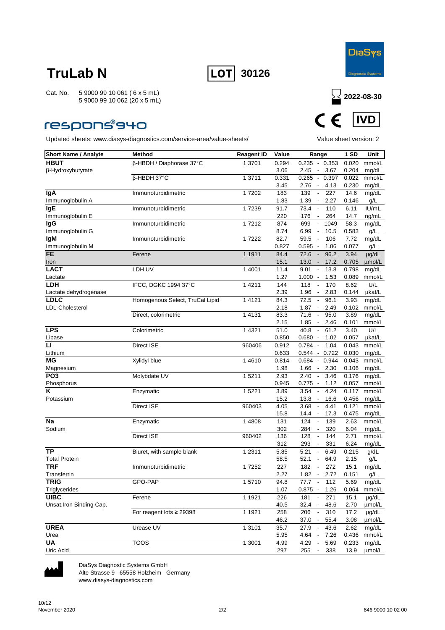



### **respons®940**

Updated sheets: www.diasys-diagnostics.com/service-area/value-sheets/ Value sheet version: 2



| <b>Short Name / Analyte</b>            | Method                          | <b>Reagent ID</b> | Value       | Range                                     | 1 SD         | Unit                 |
|----------------------------------------|---------------------------------|-------------------|-------------|-------------------------------------------|--------------|----------------------|
| <b>HBUT</b>                            | β-HBDH / Diaphorase 37°C        | 1 3701            | 0.294       | $0.235 - 0.353$                           | 0.020        | mmol/L               |
| β-Hydroxybutyrate                      |                                 |                   | 3.06        | 3.67<br>2.45<br>$\overline{\phantom{a}}$  | 0.204        | mg/dL                |
|                                        | β-HBDH 37°C                     | 1 3711            | 0.331       | 0.265<br>0.397<br>$\sim$                  | 0.022        | mmol/L               |
|                                        |                                 |                   | 3.45        | 2.76<br>4.13<br>$\sim$                    | 0.230        | mg/dL                |
| lgA                                    | Immunoturbidimetric             | 17202             | 183         | 139<br>227<br>$\overline{\phantom{a}}$    | 14.6         | mg/dL                |
| Immunoglobulin A                       |                                 |                   | 1.83        | 1.39<br>2.27<br>$\overline{\phantom{a}}$  | 0.146        | g/L                  |
| <b>IgE</b>                             | Immunoturbidimetric             | 17239             | 91.7        | 73.4<br>110<br>$\overline{\phantom{a}}$   | 6.11         | IU/mL                |
| Immunoglobulin E                       |                                 |                   | 220         | 176<br>264<br>$\overline{\phantom{a}}$    | 14.7         | ng/mL                |
| lgG                                    | Immunoturbidimetric             | 17212             | 874         | 699<br>1049<br>$\overline{\phantom{a}}$   | 58.3         | mg/dL                |
| Immunoglobulin G                       |                                 |                   | 8.74        | 6.99<br>10.5<br>$\overline{\phantom{a}}$  | 0.583        | g/L                  |
| lgM                                    | Immunoturbidimetric             | 17222             | 82.7        | 59.5<br>106<br>$\overline{\phantom{a}}$   | 7.72         | mg/dL                |
| Immunoglobulin M                       |                                 |                   | 0.827       | $0.595 -$<br>1.06                         | 0.077        | g/L                  |
| <b>FE</b>                              | Ferene                          | 1 1911            | 84.4        | 72.6<br>96.2<br>$\overline{\phantom{a}}$  | 3.94         | $\mu$ g/dL           |
| Iron                                   |                                 |                   | 15.1        | $13.0 -$<br>17.2                          | 0.705        | umol/L               |
| <b>LACT</b>                            | LDH UV                          | 1 4001            | 11.4        | 9.01<br>13.8<br>$\overline{\phantom{a}}$  | 0.798        | mg/dL                |
| Lactate                                |                                 |                   | 1.27        | 1.000<br>1.53<br>$\overline{\phantom{a}}$ | 0.089        | mmol/L               |
| LDH                                    | IFCC, DGKC 1994 37°C            | 1 4 2 1 1         | 144         | 118<br>$\overline{\phantom{a}}$<br>170    | 8.62         | U/L                  |
| Lactate dehydrogenase                  |                                 |                   | 2.39        | 1.96<br>2.83<br>$\overline{\phantom{a}}$  | 0.144        | µkat/L               |
| <b>LDLC</b>                            | Homogenous Select, TruCal Lipid | 1 4 1 2 1         | 84.3        | 72.5<br>96.1<br>$\overline{\phantom{a}}$  | 3.93         | mg/dL                |
| <b>LDL-Cholesterol</b>                 |                                 |                   | 2.18        | 1.87<br>2.49<br>$\blacksquare$            | 0.102        | mmol/L               |
|                                        | Direct, colorimetric            | 1 4 1 3 1         | 83.3        | 71.6<br>95.0<br>$\overline{\phantom{a}}$  | 3.89         | mg/dL                |
|                                        |                                 |                   | 2.15        | 1.85<br>2.46<br>$\overline{\phantom{a}}$  | 0.101        | mmol/L               |
| <b>LPS</b>                             | Colorimetric                    | 1 4 3 2 1         | 51.0        | 40.8<br>$\mathbb{Z}$<br>61.2              | 3.40         | U/L                  |
| Lipase                                 |                                 |                   | 0.850       | $0.680 -$<br>1.02                         | 0.057        | µkat/L               |
| ū                                      | <b>Direct ISE</b>               | 960406            | 0.912       | $0.784 -$<br>1.04                         | 0.043        | mmol/L               |
| Lithium                                |                                 |                   | 0.633       | $0.544 - 0.722$                           | 0.030        | mg/dL                |
| <b>MG</b>                              | Xylidyl blue                    | 14610             | 0.814       | $0.684 - 0.944$                           | 0.043        | mmol/L               |
| Magnesium                              |                                 |                   | 1.98        | 1.66<br>2.30<br>$\sim$                    | 0.106        | mg/dL                |
| PO <sub>3</sub>                        | Molybdate UV                    | 15211             | 2.93        | 3.46<br>2.40<br>$\overline{\phantom{a}}$  | 0.176        | mg/dL                |
| Phosphorus                             |                                 |                   | 0.945       | 0.775<br>1.12<br>$\sim$                   | 0.057        | mmol/L               |
| Κ                                      | Enzymatic                       | 1 5221            | 3.89        | 3.54<br>4.24<br>$\overline{\phantom{a}}$  | 0.117        | mmol/L               |
| Potassium                              |                                 |                   | 15.2        | 13.8<br>16.6                              | 0.456        | mg/dL                |
|                                        | <b>Direct ISE</b>               | 960403            | 4.05        | 3.68<br>$\blacksquare$<br>4.41            | 0.121        | mmol/L               |
|                                        |                                 |                   | 15.8        | 17.3<br>14.4<br>$\overline{\phantom{a}}$  | 0.475        | mg/dL                |
| Na                                     | Enzymatic                       | 1 4808            | 131         | 124<br>139<br>$\overline{\phantom{a}}$    | 2.63         | mmol/L               |
| Sodium                                 |                                 |                   | 302         | 284<br>320<br>$\overline{\phantom{a}}$    | 6.04         | mg/dL                |
|                                        | Direct ISE                      | 960402            | 136         | 128<br>144<br>$\blacksquare$              | 2.71         | mmol/L               |
| <b>TP</b>                              |                                 |                   | 312         | 293<br>331<br>$\overline{\phantom{a}}$    | 6.24         | mg/dL                |
|                                        | Biuret, with sample blank       | 1 2 3 1 1         | 5.85        | 5.21<br>6.49<br>$\overline{\phantom{a}}$  | 0.215        | g/dL                 |
| <b>Total Protein</b><br><b>TRF</b>     |                                 |                   | 58.5        | 52.1<br>64.9<br>$\overline{\phantom{a}}$  | 2.15         | g/L                  |
|                                        | Immunoturbidimetric             | 17252             | 227         | 182<br>272<br>$\overline{\phantom{a}}$    | 15.1         | mg/dL                |
| Transferrin<br>TRIG                    |                                 |                   | 2.27        | 1.82<br>2.72<br>$\overline{\phantom{a}}$  | 0.151        | g/L                  |
|                                        | GPO-PAP                         | 15710             | 94.8        | 77.7<br>112<br>$\sim$                     | 5.69         | mg/dL                |
| Triglycerides                          |                                 |                   | 1.07        | $0.875 - 1.26$                            |              | 0.064 mmol/L         |
| <b>UIBC</b><br>Unsat.Iron Binding Cap. | Ferene                          | 1 1921            | 226<br>40.5 | 181<br>271<br>32.4<br>$\sim$<br>48.6      | 15.1<br>2.70 | $\mu$ g/dL<br>µmol/L |
|                                        | For reagent lots $\geq$ 29398   | 1 1921            | 258         | 206<br>$\overline{\phantom{a}}$<br>310    | 17.2         | µg/dL                |
|                                        |                                 |                   | 46.2        | 37.0 -<br>55.4                            | 3.08         | µmol/L               |
| <b>UREA</b>                            | Urease UV                       | 1 3101            | 35.7        | 27.9<br>$\sim$<br>43.6                    | 2.62         | mg/dL                |
| Urea                                   |                                 |                   | 5.95        | 4.64 -<br>7.26                            | 0.436        | mmol/L               |
| <b>UA</b>                              | <b>TOOS</b>                     | 1 3001            | 4.99        | 4.29<br>5.69<br>$\sim$                    | 0.233        | mg/dL                |
| Uric Acid                              |                                 |                   | 297         | 255<br>338<br>$\overline{\phantom{a}}$    | 13.9         | umol/L               |



DiaSys Diagnostic Systems GmbH Alte Strasse 9 65558 Holzheim Germany

www.diasys-diagnostics.com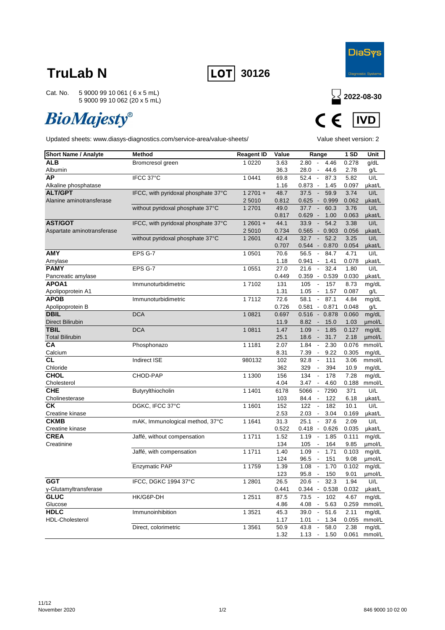



Cat. No. 5 9000 99 10 061 ( 6 x 5 mL) 5 9000 99 10 062 (20 x 5 mL)

# **BioMajesty®**



| <b>Short Name / Analyte</b>            | <b>Method</b>                       | <b>Reagent ID</b> | Value        | Range                                                                     | 1 SD          | Unit             |
|----------------------------------------|-------------------------------------|-------------------|--------------|---------------------------------------------------------------------------|---------------|------------------|
| <b>ALB</b>                             | Bromcresol green                    | 1 0 2 2 0         | 3.63         | 2.80<br>$\sim$<br>4.46                                                    | 0.278         | g/dL             |
| Albumin                                |                                     |                   | 36.3         | 28.0<br>$\overline{\phantom{a}}$<br>44.6                                  | 2.78          | g/L              |
| AP                                     | IFCC 37°C                           | 1 0 4 4 1         | 69.8         | 52.4<br>87.3<br>$\blacksquare$                                            | 5.82          | U/L              |
| Alkaline phosphatase                   |                                     |                   | 1.16         | 0.873<br>$\sim$<br>1.45                                                   | 0.097         | µkat/L           |
| <b>ALT/GPT</b>                         | IFCC, with pyridoxal phosphate 37°C | $12701 +$         | 48.7         | 37.5<br>59.9<br>$\overline{\phantom{a}}$                                  | 3.74          | U/L              |
| Alanine aminotransferase               |                                     | 2 5010            | 0.812        | 0.625<br>0.999<br>$\sim$                                                  | 0.062         | µkat/L           |
|                                        | without pyridoxal phosphate 37°C    | 1 2701            | 49.0         | 37.7<br>60.3<br>$\overline{\phantom{a}}$                                  | 3.76          | U/L              |
|                                        |                                     |                   | 0.817        | 0.629<br>1.00<br>$\overline{\phantom{a}}$                                 | 0.063         | µkat/L           |
| <b>AST/GOT</b>                         | IFCC, with pyridoxal phosphate 37°C | $12601 +$         | 44.1         | 33.9<br>54.2<br>$\overline{\phantom{a}}$                                  | 3.38          | U/L              |
| Aspartate aminotransferase             |                                     | 2 5010            | 0.734        | 0.565<br>0.903<br>$\sim$                                                  | 0.056         | µkat/L           |
|                                        | without pyridoxal phosphate 37°C    | 1 2 6 0 1         | 42.4         | 32.7<br>52.2<br>$\blacksquare$                                            | 3.25          | U/L              |
|                                        |                                     |                   | 0.707        | 0.544<br>0.870<br>$\overline{\phantom{a}}$                                | 0.054         | µkat/L           |
| <b>AMY</b>                             | EPS G-7                             | 1 0501            | 70.6         | 56.5<br>84.7<br>$\blacksquare$                                            | 4.71          | U/L              |
| Amylase                                |                                     |                   | 1.18         | 0.941<br>$\overline{\phantom{a}}$<br>1.41                                 | 0.078         | µkat/L           |
| <b>PAMY</b>                            | EPS G-7                             | 1 0 5 5 1         | 27.0         | 32.4<br>21.6<br>$\overline{\phantom{a}}$                                  | 1.80          | U/L              |
| Pancreatic amylase                     |                                     |                   | 0.449        | 0.359<br>$-0.539$                                                         | 0.030         | µkat/L           |
| APOA1                                  | Immunoturbidimetric                 | 17102             | 131          | 105<br>157<br>$\overline{\phantom{a}}$                                    | 8.73          | mg/dL            |
| Apolipoprotein A1<br><b>APOB</b>       |                                     |                   | 1.31<br>72.6 | 1.05<br>1.57<br>$\overline{\phantom{a}}$<br>87.1                          | 0.087         | g/L              |
|                                        | Immunoturbidimetric                 | 17112             | 0.726        | 58.1<br>$\blacksquare$                                                    | 4.84          | mg/dL            |
| Apolipoprotein B<br><b>DBIL</b>        | <b>DCA</b>                          |                   |              | $0.581 - 0.871$                                                           | 0.048         | g/L              |
|                                        |                                     | 1 0 8 2 1         | 0.697        | 0.516<br>0.878<br>$\mathcal{L}_{\mathcal{A}}$<br>$\overline{\phantom{a}}$ | 0.060         | mg/dL            |
| <b>Direct Bilirubin</b><br><b>TBIL</b> | <b>DCA</b>                          | 1 0811            | 11.9<br>1.47 | 8.82<br>15.0<br>1.09<br>1.85                                              | 1.03<br>0.127 | µmol/L           |
|                                        |                                     |                   |              | $\blacksquare$<br>$\overline{\phantom{a}}$                                |               | mg/dL            |
| <b>Total Bilirubin</b><br>СA           | Phosphonazo                         | 1 1 1 8 1         | 25.1<br>2.07 | 31.7<br>18.6<br>1.84<br>2.30<br>$\overline{\phantom{a}}$                  | 2.18<br>0.076 | umol/L<br>mmol/L |
| Calcium                                |                                     |                   | 8.31         | 7.39<br>9.22<br>$\overline{\phantom{a}}$                                  | 0.305         | mg/dL            |
| <b>CL</b>                              | <b>Indirect ISE</b>                 | 980132            | 102          | 92.8<br>111<br>$\Box$                                                     | 3.06          | mmol/L           |
| Chloride                               |                                     |                   | 362          | 329<br>394<br>$\blacksquare$                                              | 10.9          | mg/dL            |
| <b>CHOL</b>                            | CHOD-PAP                            | 1 1300            | 156          | 134<br>$\Box$<br>178                                                      | 7.28          | mg/dL            |
| Cholesterol                            |                                     |                   | 4.04         | 3.47<br>4.60<br>$\overline{\phantom{a}}$                                  | 0.188         | mmol/L           |
| <b>CHE</b>                             | Butyrylthiocholin                   | 1 1401            | 6178         | 5066<br>$\overline{\phantom{a}}$<br>7290                                  | 371           | U/L              |
| Cholinesterase                         |                                     |                   | 103          | 122<br>84.4                                                               | 6.18          | µkat/L           |
| CK                                     | DGKC, IFCC 37°C                     | 1 1601            | 152          | 122<br>182<br>$\blacksquare$                                              | 10.1          | U/L              |
| Creatine kinase                        |                                     |                   | 2.53         | 2.03<br>3.04<br>$\blacksquare$                                            | 0.169         | µkat/L           |
| <b>CKMB</b>                            | mAK, Immunological method, 37°C     | 1 1 6 4 1         | 31.3         | 25.1<br>37.6<br>$\Box$                                                    | 2.09          | U/L              |
| Creatine kinase                        |                                     |                   | 0.522        | 0.626<br>0.418<br>$\overline{\phantom{a}}$                                | 0.035         | µkat/L           |
| <b>CREA</b>                            | Jaffé, without compensation         | 1 1711            | 1.52         | 1.19<br>1.85<br>$\blacksquare$                                            | 0.111         | mg/dL            |
| Creatinine                             |                                     |                   | 134          | 105<br>$\blacksquare$<br>164                                              | 9.85          | µmol/L           |
|                                        | Jaffé, with compensation            | 1 1711            | 1.40         | 1.09<br>1.71<br>$\overline{\phantom{a}}$                                  | 0.103         | mg/dL            |
|                                        |                                     |                   | 124          | 96.5<br>151<br>$\blacksquare$                                             | 9.08          | umol/L           |
|                                        | Enzymatic PAP                       | 1 1759            | 1.39         | 1.08<br>1.70<br>$\overline{\phantom{a}}$                                  | 0.102         | mg/dL            |
|                                        |                                     |                   | 123          | 95.8<br>$\overline{\phantom{a}}$<br>150                                   | 9.01          | µmol/L           |
| <b>GGT</b>                             | IFCC, DGKC 1994 37°C                | 1 2 8 0 1         | 26.5         | 32.3<br>20.6<br>$\blacksquare$                                            | 1.94          | U/L              |
| γ-Glutamyltransferase                  |                                     |                   | 0.441        | $0.344 - 0.538$                                                           | 0.032         | µkat/L           |
| <b>GLUC</b>                            | HK/G6P-DH                           | 1 2511            | 87.5         | 73.5<br>102<br>$\overline{\phantom{a}}$                                   | 4.67          | mg/dL            |
| Glucose                                |                                     |                   | 4.86         | 4.08<br>5.63<br>$\overline{\phantom{a}}$                                  | 0.259         | mmol/L           |
| <b>HDLC</b>                            | Immunoinhibition                    | 1 3521            | 45.3         | 39.0<br>$\Box$<br>51.6                                                    | 2.11          | mg/dL            |
| <b>HDL-Cholesterol</b>                 |                                     |                   | 1.17         | 1.01<br>1.34<br>$\overline{\phantom{a}}$                                  | 0.055         | mmol/L           |
|                                        | Direct, colorimetric                | 1 3561            | 50.9         | 43.8<br>$\Box$<br>58.0                                                    | 2.38          | mg/dL            |
|                                        |                                     |                   | 1.32         | 1.13<br>$\overline{\phantom{a}}$<br>1.50                                  | 0.061         | mmol/L           |